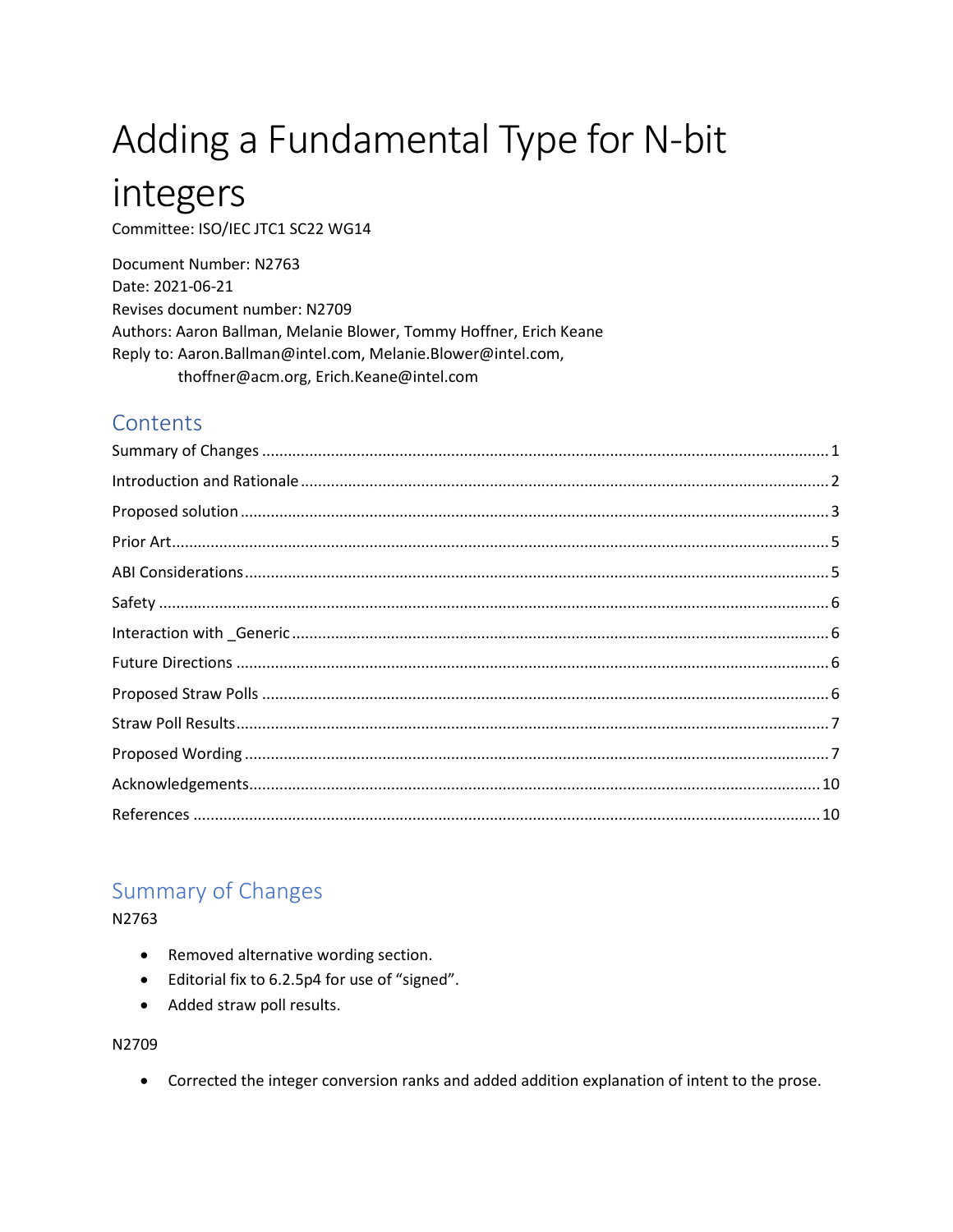# Adding a Fundamental Type for N-bit

## integers

Committee: ISO/IEC JTC1 SC22 WG14

Document Number: N2763 Date: 2021-06-21 Revises document number: N2709 Authors: Aaron Ballman, Melanie Blower, Tommy Hoffner, Erich Keane Reply to: Aaron.Ballman@intel.com, Melanie.Blower@intel.com, thoffner@acm.org, Erich.Keane@intel.com

## Contents

## <span id="page-0-0"></span>**Summary of Changes**

N2763

- Removed alternative wording section.
- Editorial fix to 6.2.5p4 for use of "signed".
- Added straw poll results.

N2709

• Corrected the integer conversion ranks and added addition explanation of intent to the prose.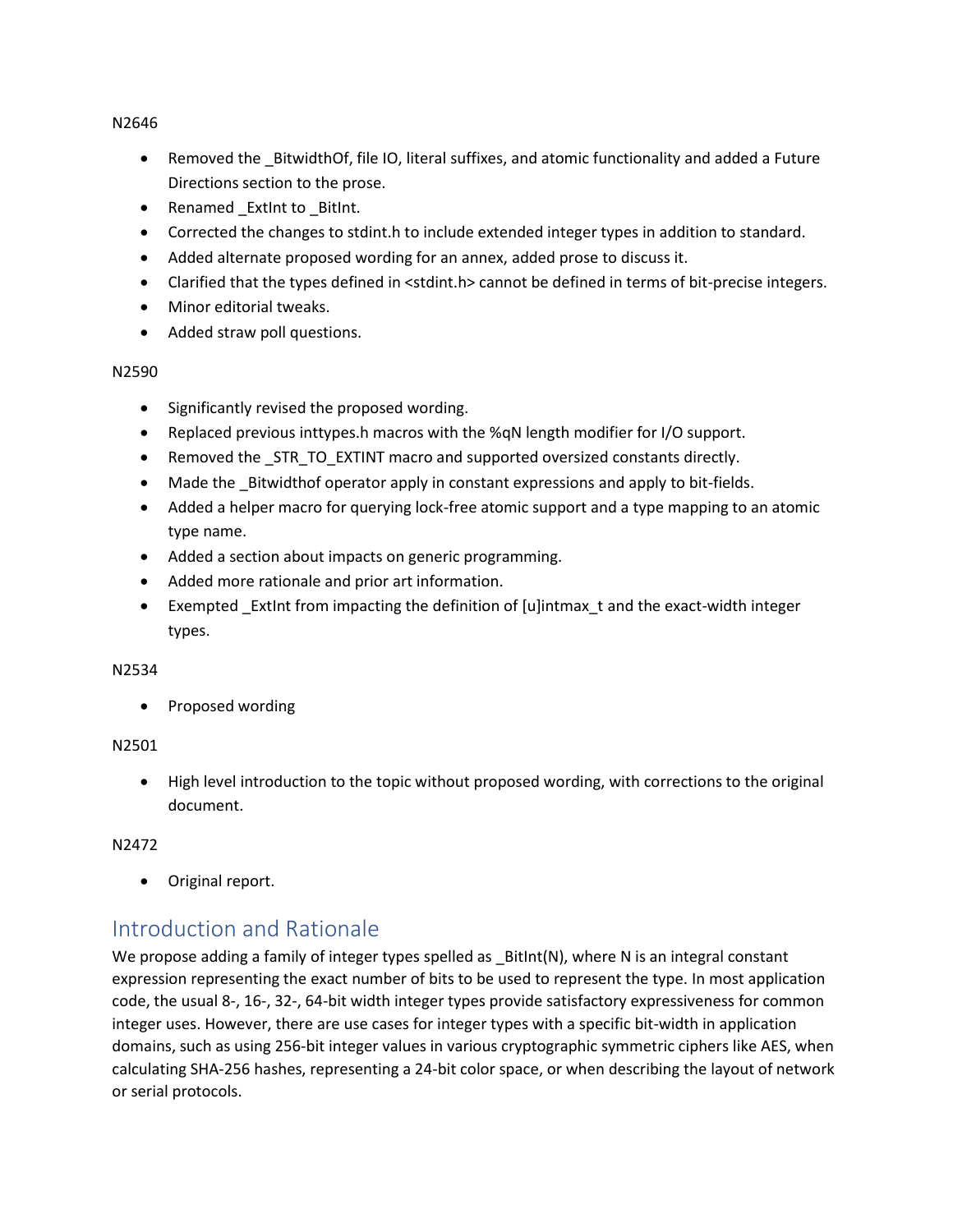N2646

- Removed the BitwidthOf, file IO, literal suffixes, and atomic functionality and added a Future Directions section to the prose.
- Renamed ExtInt to BitInt.
- Corrected the changes to stdint.h to include extended integer types in addition to standard.
- Added alternate proposed wording for an annex, added prose to discuss it.
- Clarified that the types defined in <stdint.h> cannot be defined in terms of bit-precise integers.
- Minor editorial tweaks.
- Added straw poll questions.

#### N2590

- Significantly revised the proposed wording.
- Replaced previous inttypes.h macros with the %qN length modifier for I/O support.
- Removed the \_STR\_TO\_EXTINT macro and supported oversized constants directly.
- Made the Bitwidthof operator apply in constant expressions and apply to bit-fields.
- Added a helper macro for querying lock-free atomic support and a type mapping to an atomic type name.
- Added a section about impacts on generic programming.
- Added more rationale and prior art information.
- Exempted ExtInt from impacting the definition of [u]intmax t and the exact-width integer types.

#### N2534

• Proposed wording

#### N2501

• High level introduction to the topic without proposed wording, with corrections to the original document.

#### N2472

• Original report.

## <span id="page-1-0"></span>Introduction and Rationale

We propose adding a family of integer types spelled as  $Bithnt(N)$ , where N is an integral constant expression representing the exact number of bits to be used to represent the type. In most application code, the usual 8-, 16-, 32-, 64-bit width integer types provide satisfactory expressiveness for common integer uses. However, there are use cases for integer types with a specific bit-width in application domains, such as using 256-bit integer values in various cryptographic symmetric ciphers like AES, when calculating SHA-256 hashes, representing a 24-bit color space, or when describing the layout of network or serial protocols.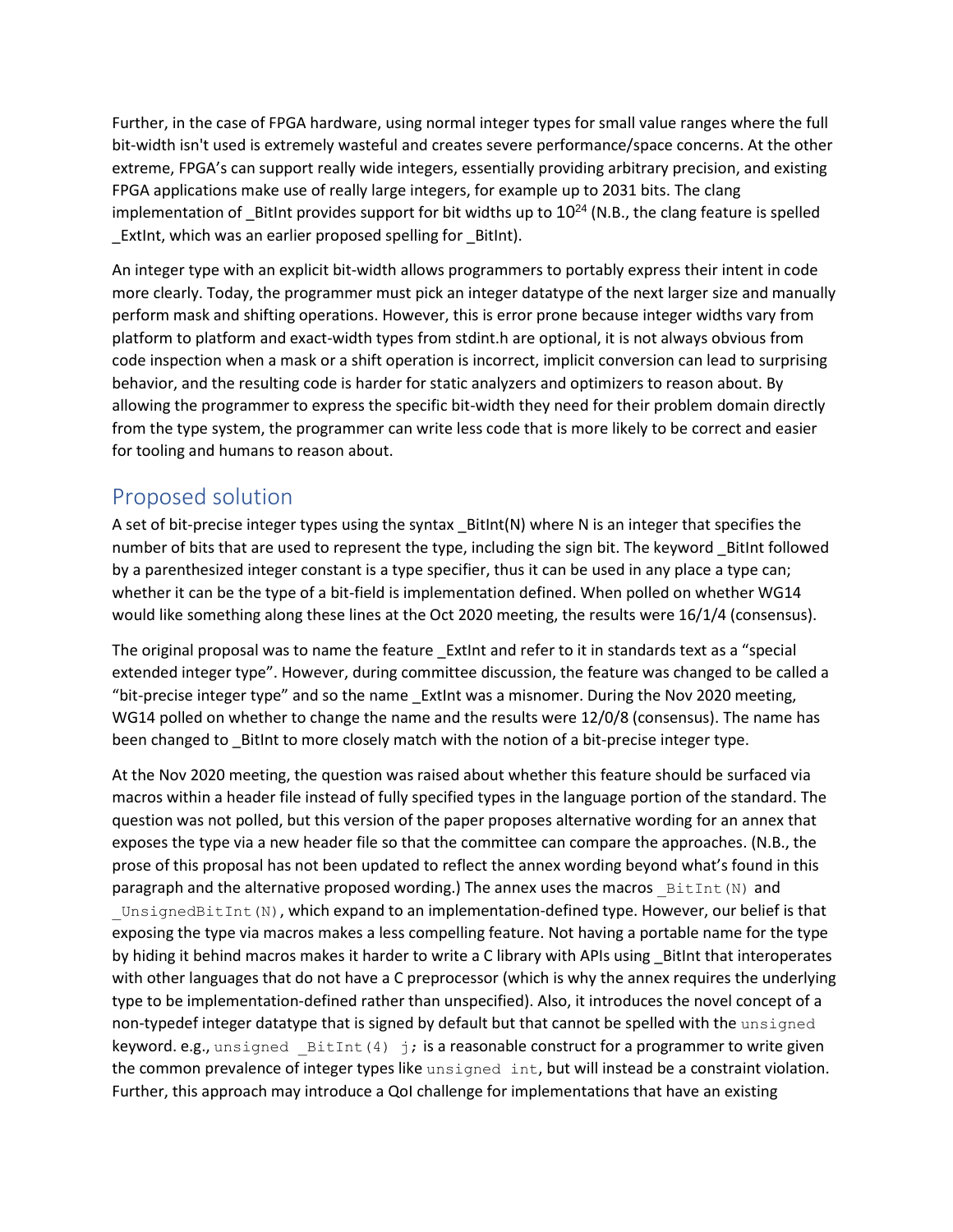Further, in the case of FPGA hardware, using normal integer types for small value ranges where the full bit-width isn't used is extremely wasteful and creates severe performance/space concerns. At the other extreme, FPGA's can support really wide integers, essentially providing arbitrary precision, and existing FPGA applications make use of really large integers, for example up to 2031 bits. The clang implementation of BitInt provides support for bit widths up to  $10^{24}$  (N.B., the clang feature is spelled ExtInt, which was an earlier proposed spelling for BitInt).

An integer type with an explicit bit-width allows programmers to portably express their intent in code more clearly. Today, the programmer must pick an integer datatype of the next larger size and manually perform mask and shifting operations. However, this is error prone because integer widths vary from platform to platform and exact-width types from stdint.h are optional, it is not always obvious from code inspection when a mask or a shift operation is incorrect, implicit conversion can lead to surprising behavior, and the resulting code is harder for static analyzers and optimizers to reason about. By allowing the programmer to express the specific bit-width they need for their problem domain directly from the type system, the programmer can write less code that is more likely to be correct and easier for tooling and humans to reason about.

## <span id="page-2-0"></span>Proposed solution

A set of bit-precise integer types using the syntax BitInt(N) where N is an integer that specifies the number of bits that are used to represent the type, including the sign bit. The keyword \_BitInt followed by a parenthesized integer constant is a type specifier, thus it can be used in any place a type can; whether it can be the type of a bit-field is implementation defined. When polled on whether WG14 would like something along these lines at the Oct 2020 meeting, the results were 16/1/4 (consensus).

The original proposal was to name the feature \_ExtInt and refer to it in standards text as a "special extended integer type". However, during committee discussion, the feature was changed to be called a "bit-precise integer type" and so the name \_ExtInt was a misnomer. During the Nov 2020 meeting, WG14 polled on whether to change the name and the results were 12/0/8 (consensus). The name has been changed to \_BitInt to more closely match with the notion of a bit-precise integer type.

At the Nov 2020 meeting, the question was raised about whether this feature should be surfaced via macros within a header file instead of fully specified types in the language portion of the standard. The question was not polled, but this version of the paper proposes alternative wording for an annex that exposes the type via a new header file so that the committee can compare the approaches. (N.B., the prose of this proposal has not been updated to reflect the annex wording beyond what's found in this paragraph and the alternative proposed wording.) The annex uses the macros  $BiltInt(N)$  and UnsignedBitInt(N), which expand to an implementation-defined type. However, our belief is that exposing the type via macros makes a less compelling feature. Not having a portable name for the type by hiding it behind macros makes it harder to write a C library with APIs using \_BitInt that interoperates with other languages that do not have a C preprocessor (which is why the annex requires the underlying type to be implementation-defined rather than unspecified). Also, it introduces the novel concept of a non-typedef integer datatype that is signed by default but that cannot be spelled with the unsigned keyword. e.g., unsigned  $BistInt(4)$  j; is a reasonable construct for a programmer to write given the common prevalence of integer types like unsigned int, but will instead be a constraint violation. Further, this approach may introduce a QoI challenge for implementations that have an existing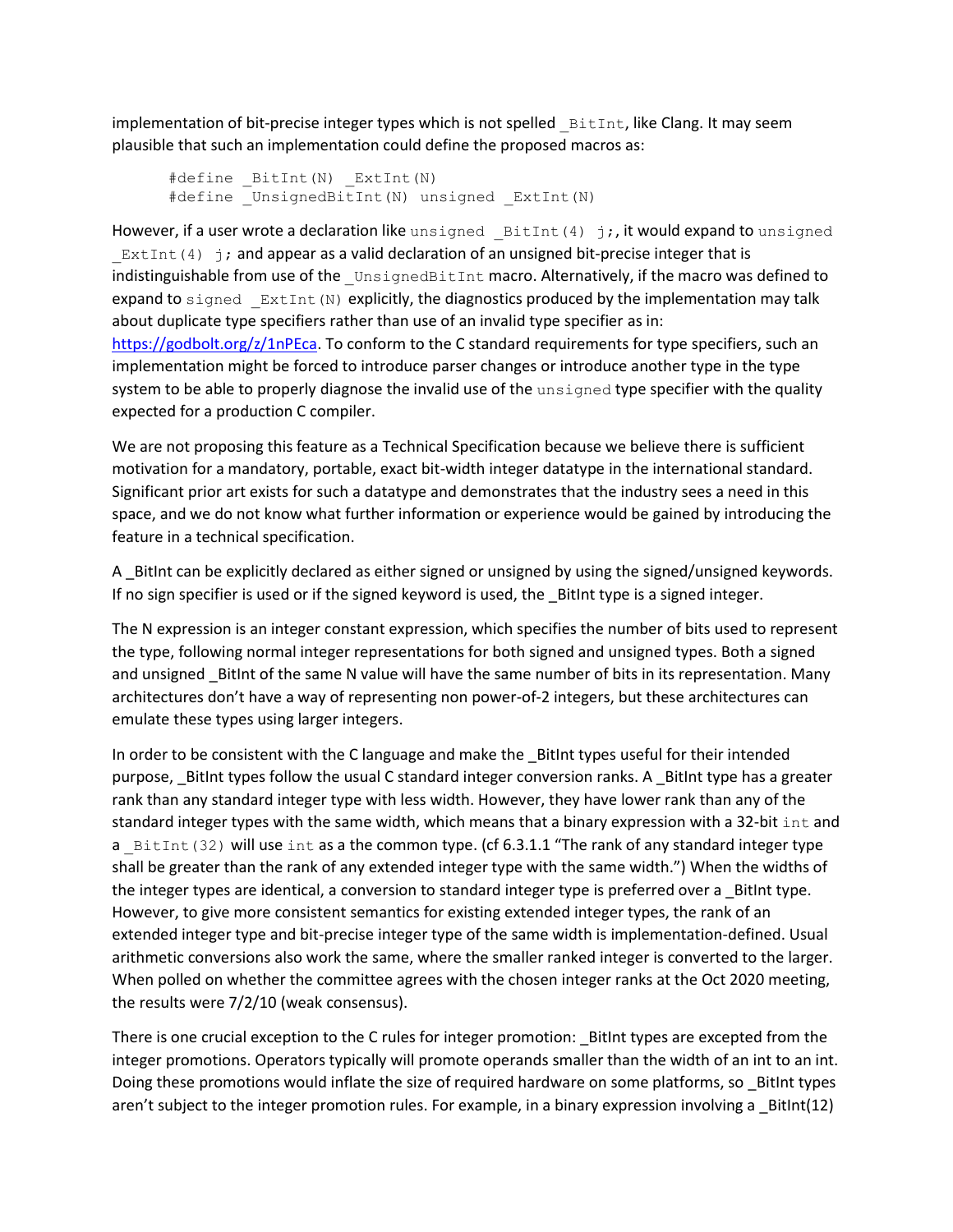implementation of bit-precise integer types which is not spelled  $B$ itInt, like Clang. It may seem plausible that such an implementation could define the proposed macros as:

```
#define _BitInt(N) ExtInt(N)
#define UnsignedBitInt(N) unsigned ExtInt(N)
```
However, if a user wrote a declaration like unsigned  $BistInt(4) j$ ;, it would expand to unsigned  $ExtInt(4)$  j; and appear as a valid declaration of an unsigned bit-precise integer that is indistinguishable from use of the UnsignedBitInt macro. Alternatively, if the macro was defined to expand to signed  $\mathbb{E}xtInt(N)$  explicitly, the diagnostics produced by the implementation may talk about duplicate type specifiers rather than use of an invalid type specifier as in: [https://godbolt.org/z/1nPEca.](https://godbolt.org/z/1nPEca) To conform to the C standard requirements for type specifiers, such an implementation might be forced to introduce parser changes or introduce another type in the type system to be able to properly diagnose the invalid use of the unsigned type specifier with the quality expected for a production C compiler.

We are not proposing this feature as a Technical Specification because we believe there is sufficient motivation for a mandatory, portable, exact bit-width integer datatype in the international standard. Significant prior art exists for such a datatype and demonstrates that the industry sees a need in this space, and we do not know what further information or experience would be gained by introducing the feature in a technical specification.

A \_BitInt can be explicitly declared as either signed or unsigned by using the signed/unsigned keywords. If no sign specifier is used or if the signed keyword is used, the \_BitInt type is a signed integer.

The N expression is an integer constant expression, which specifies the number of bits used to represent the type, following normal integer representations for both signed and unsigned types. Both a signed and unsigned \_BitInt of the same N value will have the same number of bits in its representation. Many architectures don't have a way of representing non power-of-2 integers, but these architectures can emulate these types using larger integers.

In order to be consistent with the C language and make the BitInt types useful for their intended purpose, \_BitInt types follow the usual C standard integer conversion ranks. A \_BitInt type has a greater rank than any standard integer type with less width. However, they have lower rank than any of the standard integer types with the same width, which means that a binary expression with a 32-bit  $int$  and a  $BistInt(32)$  will use int as a the common type. (cf 6.3.1.1 "The rank of any standard integer type shall be greater than the rank of any extended integer type with the same width.") When the widths of the integer types are identical, a conversion to standard integer type is preferred over a \_BitInt type. However, to give more consistent semantics for existing extended integer types, the rank of an extended integer type and bit-precise integer type of the same width is implementation-defined. Usual arithmetic conversions also work the same, where the smaller ranked integer is converted to the larger. When polled on whether the committee agrees with the chosen integer ranks at the Oct 2020 meeting, the results were 7/2/10 (weak consensus).

There is one crucial exception to the C rules for integer promotion: BitInt types are excepted from the integer promotions. Operators typically will promote operands smaller than the width of an int to an int. Doing these promotions would inflate the size of required hardware on some platforms, so BitInt types aren't subject to the integer promotion rules. For example, in a binary expression involving a BitInt(12)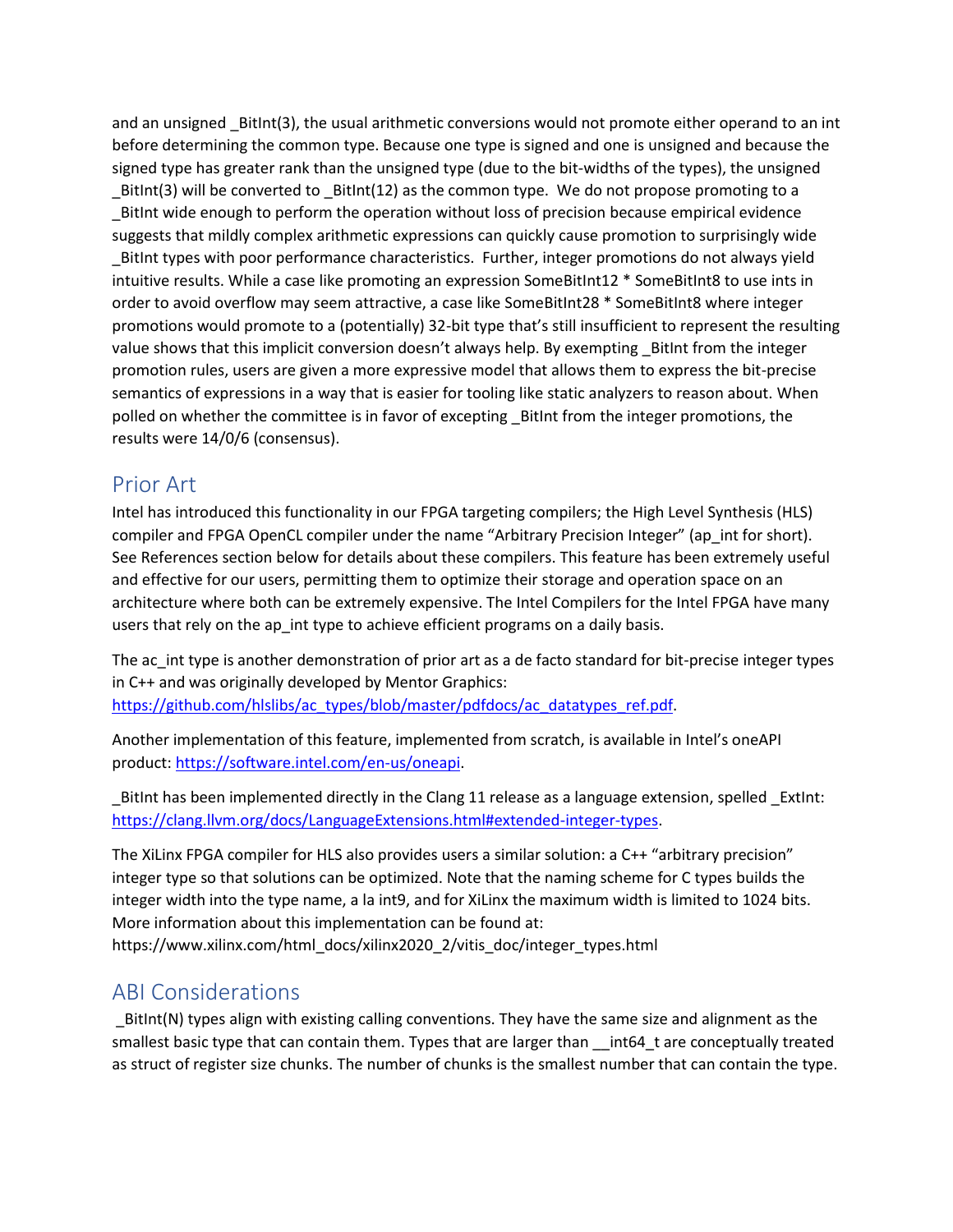and an unsigned BitInt(3), the usual arithmetic conversions would not promote either operand to an int before determining the common type. Because one type is signed and one is unsigned and because the signed type has greater rank than the unsigned type (due to the bit-widths of the types), the unsigned \_BitInt(3) will be converted to \_BitInt(12) as the common type. We do not propose promoting to a \_BitInt wide enough to perform the operation without loss of precision because empirical evidence suggests that mildly complex arithmetic expressions can quickly cause promotion to surprisingly wide \_BitInt types with poor performance characteristics. Further, integer promotions do not always yield intuitive results. While a case like promoting an expression SomeBitInt12 \* SomeBitInt8 to use ints in order to avoid overflow may seem attractive, a case like SomeBitInt28 \* SomeBitInt8 where integer promotions would promote to a (potentially) 32-bit type that's still insufficient to represent the resulting value shows that this implicit conversion doesn't always help. By exempting \_BitInt from the integer promotion rules, users are given a more expressive model that allows them to express the bit-precise semantics of expressions in a way that is easier for tooling like static analyzers to reason about. When polled on whether the committee is in favor of excepting \_BitInt from the integer promotions, the results were 14/0/6 (consensus).

## <span id="page-4-0"></span>Prior Art

Intel has introduced this functionality in our FPGA targeting compilers; the High Level Synthesis (HLS) compiler and FPGA OpenCL compiler under the name "Arbitrary Precision Integer" (ap int for short). See References section below for details about these compilers. This feature has been extremely useful and effective for our users, permitting them to optimize their storage and operation space on an architecture where both can be extremely expensive. The Intel Compilers for the Intel FPGA have many users that rely on the ap int type to achieve efficient programs on a daily basis.

The ac int type is another demonstration of prior art as a de facto standard for bit-precise integer types in C++ and was originally developed by Mentor Graphics: [https://github.com/hlslibs/ac\\_types/blob/master/pdfdocs/ac\\_datatypes\\_ref.pdf.](https://github.com/hlslibs/ac_types/blob/master/pdfdocs/ac_datatypes_ref.pdf)

Another implementation of this feature, implemented from scratch, is available in Intel's oneAPI product[: https://software.intel.com/en-us/oneapi.](https://software.intel.com/en-us/oneapi)

BitInt has been implemented directly in the Clang 11 release as a language extension, spelled ExtInt: [https://clang.llvm.org/docs/LanguageExtensions.html#extended-integer-types.](https://clang.llvm.org/docs/LanguageExtensions.html#extended-integer-types)

The XiLinx FPGA compiler for HLS also provides users a similar solution: a C++ "arbitrary precision" integer type so that solutions can be optimized. Note that the naming scheme for C types builds the integer width into the type name, a la int9, and for XiLinx the maximum width is limited to 1024 bits. More information about this implementation can be found at:

https://www.xilinx.com/html\_docs/xilinx2020\_2/vitis\_doc/integer\_types.html

## <span id="page-4-1"></span>ABI Considerations

\_BitInt(N) types align with existing calling conventions. They have the same size and alignment as the smallest basic type that can contain them. Types that are larger than \_\_int64\_t are conceptually treated as struct of register size chunks. The number of chunks is the smallest number that can contain the type.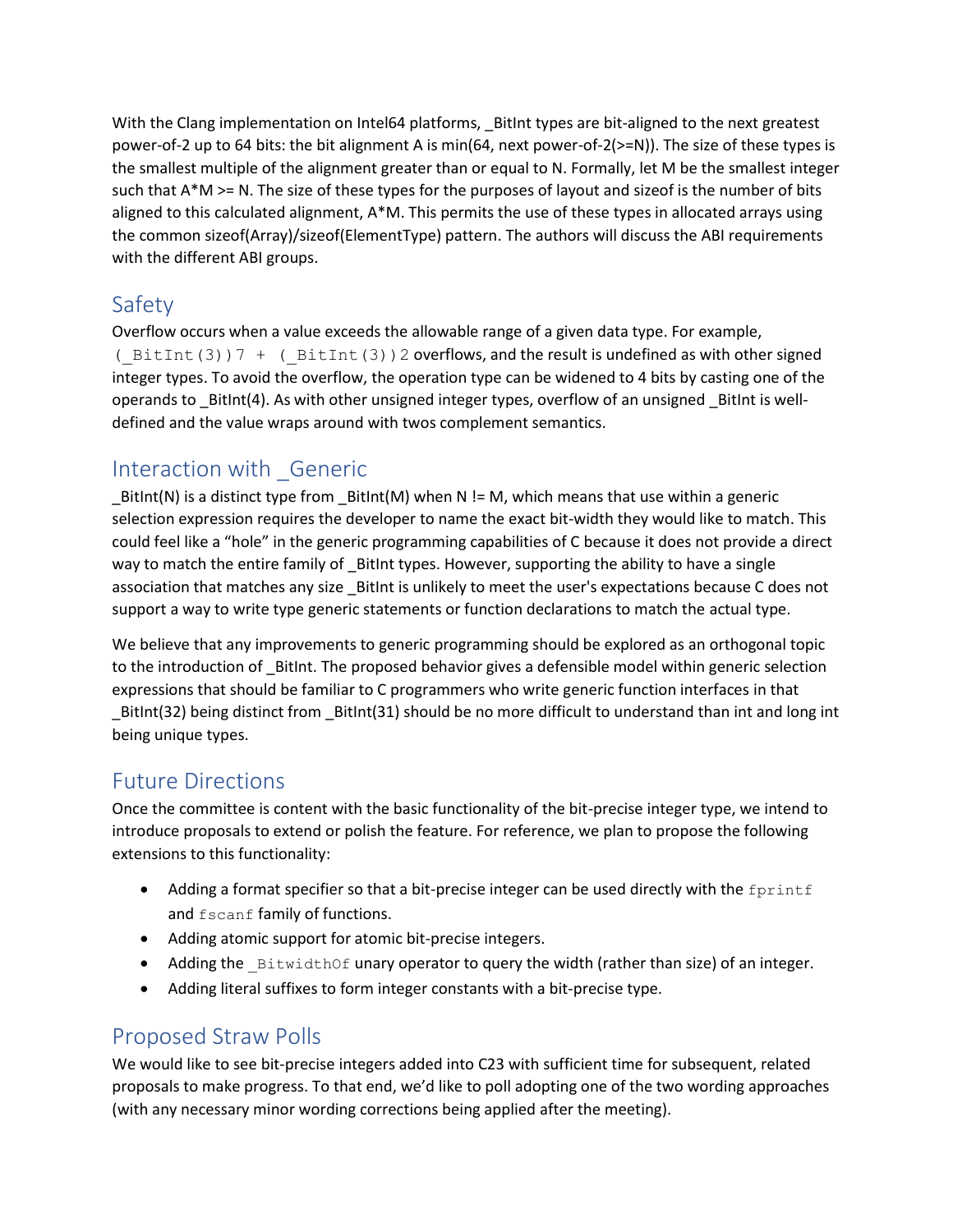With the Clang implementation on Intel64 platforms, \_BitInt types are bit-aligned to the next greatest power-of-2 up to 64 bits: the bit alignment A is min(64, next power-of-2(>=N)). The size of these types is the smallest multiple of the alignment greater than or equal to N. Formally, let M be the smallest integer such that A\*M >= N. The size of these types for the purposes of layout and sizeof is the number of bits aligned to this calculated alignment, A\*M. This permits the use of these types in allocated arrays using the common sizeof(Array)/sizeof(ElementType) pattern. The authors will discuss the ABI requirements with the different ABI groups.

## <span id="page-5-0"></span>Safety

Overflow occurs when a value exceeds the allowable range of a given data type. For example, ( $BitInt(3)$ ) 7 + ( $BitInt(3)$ ) 2 overflows, and the result is undefined as with other signed integer types. To avoid the overflow, the operation type can be widened to 4 bits by casting one of the operands to \_BitInt(4). As with other unsigned integer types, overflow of an unsigned \_BitInt is welldefined and the value wraps around with twos complement semantics.

## <span id="page-5-1"></span>Interaction with \_Generic

BitInt(N) is a distinct type from  $Bitht(M)$  when N != M, which means that use within a generic selection expression requires the developer to name the exact bit-width they would like to match. This could feel like a "hole" in the generic programming capabilities of C because it does not provide a direct way to match the entire family of \_BitInt types. However, supporting the ability to have a single association that matches any size \_BitInt is unlikely to meet the user's expectations because C does not support a way to write type generic statements or function declarations to match the actual type.

We believe that any improvements to generic programming should be explored as an orthogonal topic to the introduction of BitInt. The proposed behavior gives a defensible model within generic selection expressions that should be familiar to C programmers who write generic function interfaces in that \_BitInt(32) being distinct from \_BitInt(31) should be no more difficult to understand than int and long int being unique types.

## <span id="page-5-2"></span>Future Directions

Once the committee is content with the basic functionality of the bit-precise integer type, we intend to introduce proposals to extend or polish the feature. For reference, we plan to propose the following extensions to this functionality:

- Adding a format specifier so that a bit-precise integer can be used directly with the  $f$ printf and fscanf family of functions.
- Adding atomic support for atomic bit-precise integers.
- Adding the  $B$ itwidthOf unary operator to query the width (rather than size) of an integer.
- Adding literal suffixes to form integer constants with a bit-precise type.

## <span id="page-5-3"></span>Proposed Straw Polls

We would like to see bit-precise integers added into C23 with sufficient time for subsequent, related proposals to make progress. To that end, we'd like to poll adopting one of the two wording approaches (with any necessary minor wording corrections being applied after the meeting).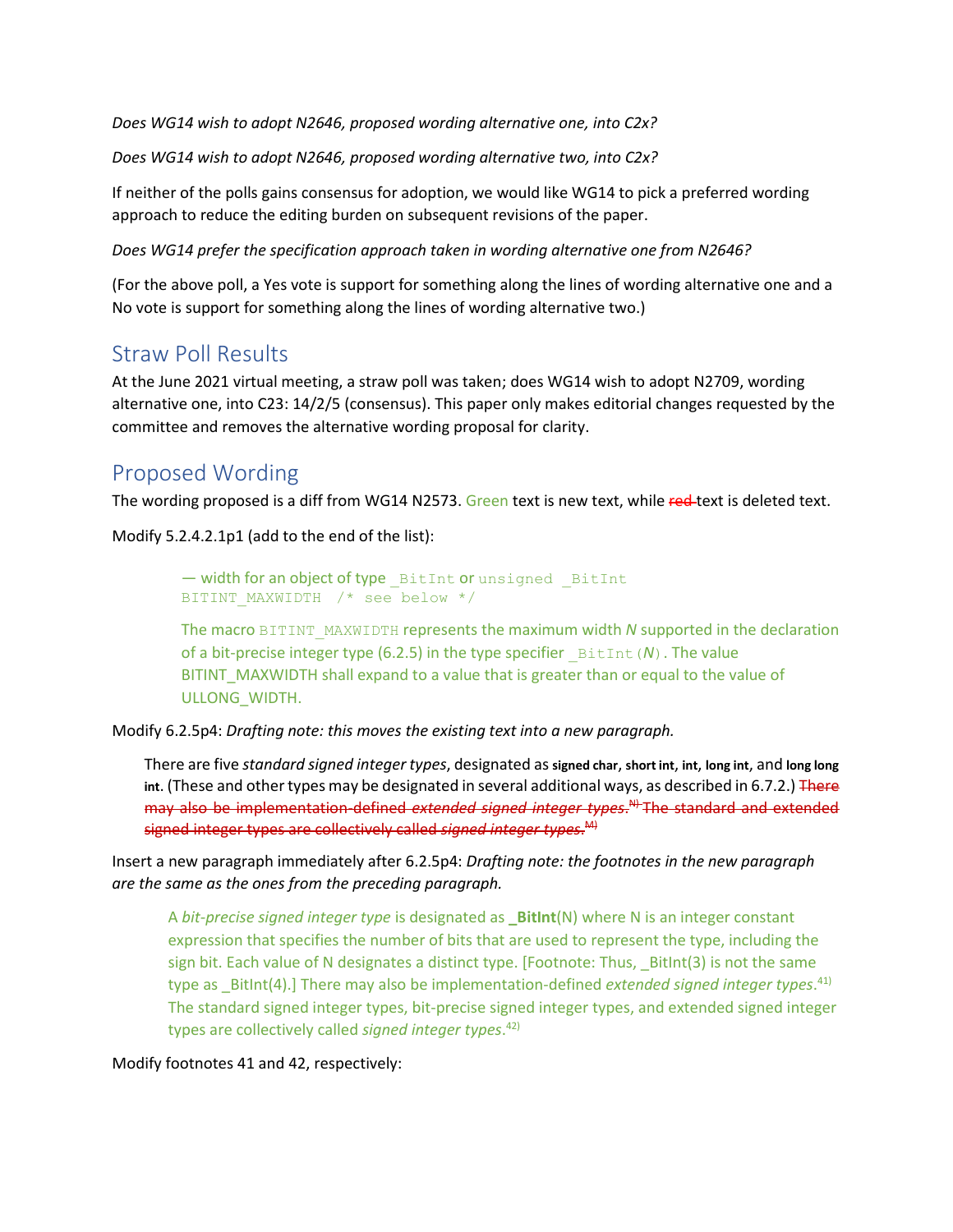*Does WG14 wish to adopt N2646, proposed wording alternative one, into C2x?*

*Does WG14 wish to adopt N2646, proposed wording alternative two, into C2x?*

If neither of the polls gains consensus for adoption, we would like WG14 to pick a preferred wording approach to reduce the editing burden on subsequent revisions of the paper.

*Does WG14 prefer the specification approach taken in wording alternative one from N2646?*

(For the above poll, a Yes vote is support for something along the lines of wording alternative one and a No vote is support for something along the lines of wording alternative two.)

## <span id="page-6-0"></span>Straw Poll Results

At the June 2021 virtual meeting, a straw poll was taken; does WG14 wish to adopt N2709, wording alternative one, into C23: 14/2/5 (consensus). This paper only makes editorial changes requested by the committee and removes the alternative wording proposal for clarity.

## <span id="page-6-1"></span>Proposed Wording

The wording proposed is a diff from WG14 N2573. Green text is new text, while red-text is deleted text.

Modify 5.2.4.2.1p1 (add to the end of the list):

 $-$  width for an object of type  $B$  BitInt or unsigned  $B$  BitInt BITINT MAXWIDTH /\* see below \*/

The macro BITINT\_MAXWIDTH represents the maximum width *N* supported in the declaration of a bit-precise integer type (6.2.5) in the type specifier  $BitInt(N)$ . The value BITINT\_MAXWIDTH shall expand to a value that is greater than or equal to the value of ULLONG\_WIDTH.

Modify 6.2.5p4: *Drafting note: this moves the existing text into a new paragraph.*

There are five *standard signed integer types*, designated as **signed char**, **short int**, **int**, **long int**, and **long long int**. (These and other types may be designated in several additional ways, as described in 6.7.2.) There may also be implementation-defined *extended signed integer types*. N) The standard and extended signed integer types are collectively called *signed integer types*. M)

Insert a new paragraph immediately after 6.2.5p4: *Drafting note: the footnotes in the new paragraph are the same as the ones from the preceding paragraph.*

A *bit-precise signed integer type* is designated as **\_BitInt**(N) where N is an integer constant expression that specifies the number of bits that are used to represent the type, including the sign bit. Each value of N designates a distinct type. [Footnote: Thus, \_BitInt(3) is not the same type as \_BitInt(4).] There may also be implementation-defined *extended signed integer types*. 41) The standard signed integer types, bit-precise signed integer types, and extended signed integer types are collectively called *signed integer types*. 42)

#### Modify footnotes 41 and 42, respectively: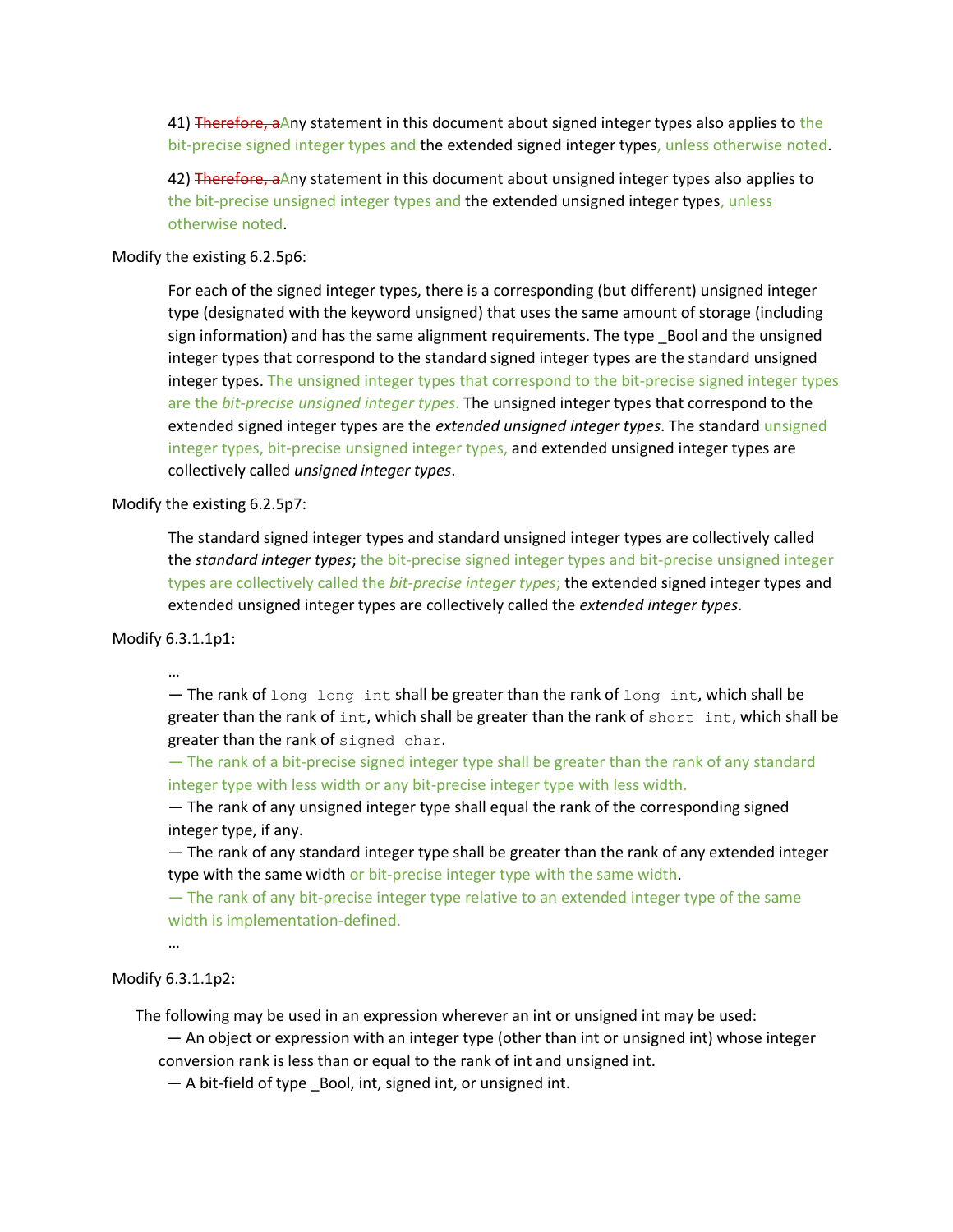41) Therefore, aAny statement in this document about signed integer types also applies to the bit-precise signed integer types and the extended signed integer types, unless otherwise noted.

42) Therefore, aAny statement in this document about unsigned integer types also applies to the bit-precise unsigned integer types and the extended unsigned integer types, unless otherwise noted.

#### Modify the existing 6.2.5p6:

For each of the signed integer types, there is a corresponding (but different) unsigned integer type (designated with the keyword unsigned) that uses the same amount of storage (including sign information) and has the same alignment requirements. The type \_Bool and the unsigned integer types that correspond to the standard signed integer types are the standard unsigned integer types. The unsigned integer types that correspond to the bit-precise signed integer types are the *bit-precise unsigned integer types*. The unsigned integer types that correspond to the extended signed integer types are the *extended unsigned integer types*. The standard unsigned integer types, bit-precise unsigned integer types, and extended unsigned integer types are collectively called *unsigned integer types*.

Modify the existing 6.2.5p7:

The standard signed integer types and standard unsigned integer types are collectively called the *standard integer types*; the bit-precise signed integer types and bit-precise unsigned integer types are collectively called the *bit-precise integer types*; the extended signed integer types and extended unsigned integer types are collectively called the *extended integer types*.

#### Modify 6.3.1.1p1:

…

 $-$  The rank of long long int shall be greater than the rank of long int, which shall be greater than the rank of int, which shall be greater than the rank of short int, which shall be greater than the rank of signed char.

— The rank of a bit-precise signed integer type shall be greater than the rank of any standard integer type with less width or any bit-precise integer type with less width.

— The rank of any unsigned integer type shall equal the rank of the corresponding signed integer type, if any.

— The rank of any standard integer type shall be greater than the rank of any extended integer type with the same width or bit-precise integer type with the same width.

— The rank of any bit-precise integer type relative to an extended integer type of the same width is implementation-defined.

…

#### Modify 6.3.1.1p2:

The following may be used in an expression wherever an int or unsigned int may be used:

 — An object or expression with an integer type (other than int or unsigned int) whose integer conversion rank is less than or equal to the rank of int and unsigned int.

— A bit-field of type \_Bool, int, signed int, or unsigned int.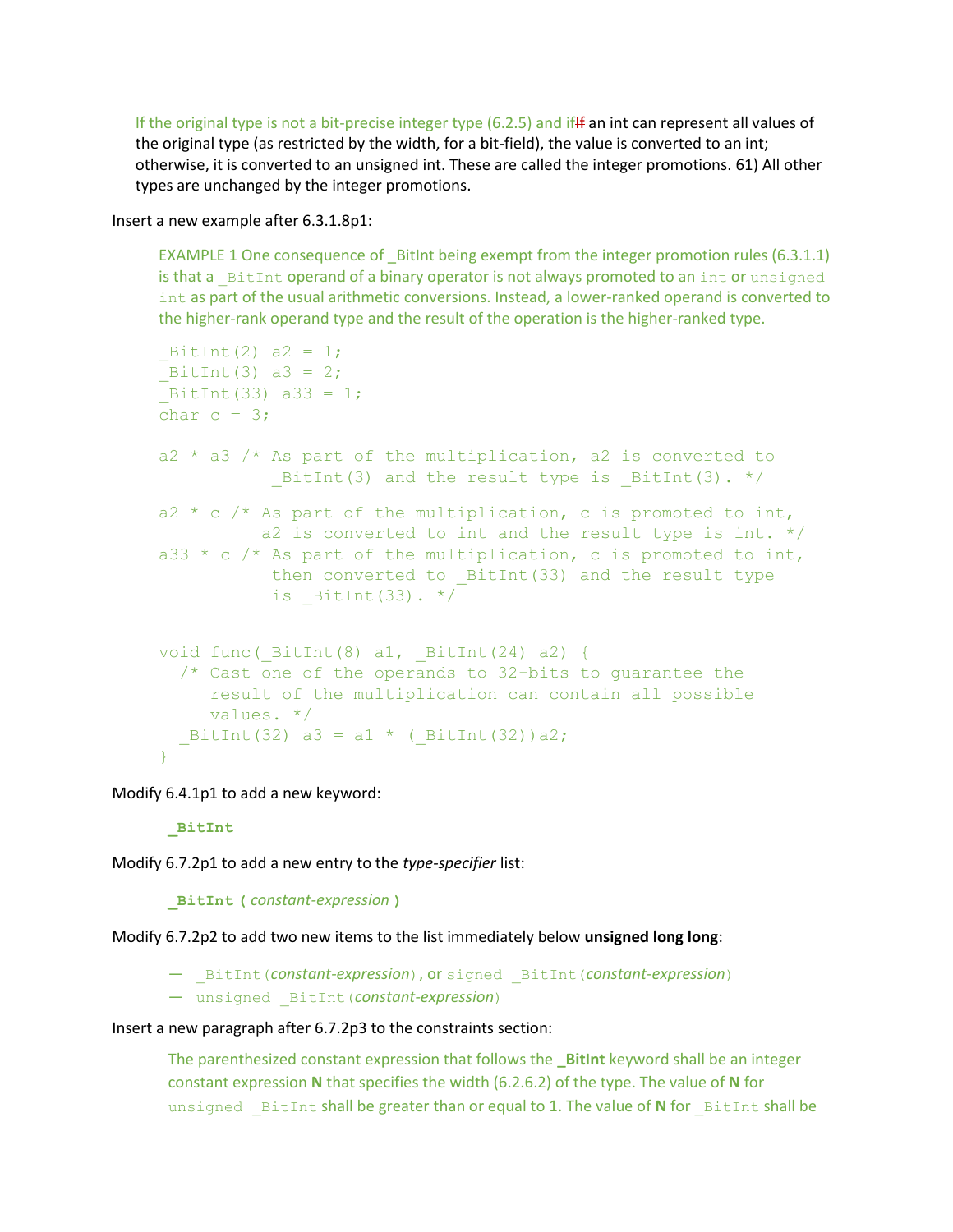If the original type is not a bit-precise integer type (6.2.5) and ifff an int can represent all values of the original type (as restricted by the width, for a bit-field), the value is converted to an int; otherwise, it is converted to an unsigned int. These are called the integer promotions. 61) All other types are unchanged by the integer promotions.

Insert a new example after 6.3.1.8p1:

EXAMPLE 1 One consequence of \_BitInt being exempt from the integer promotion rules (6.3.1.1) is that a BitInt operand of a binary operator is not always promoted to an int or unsigned int as part of the usual arithmetic conversions. Instead, a lower-ranked operand is converted to the higher-rank operand type and the result of the operation is the higher-ranked type.

```
BitInt(2) a2 = 1;
BitInt(3) a3 = 2;
BitInt(33) a33 = 1;char c = 3;
a2 * a3 /* As part of the multiplication, a2 is converted to
          BitInt(3) and the result type is BitInt(3). */
a2 * c /* As part of the multiplication, c is promoted to int,
           a2 is converted to int and the result type is int. */
a33 * c /* As part of the multiplication, c is promoted to int,
          then converted to BitInt(33) and the result type
           is BitInt(33). */void func(BitInt(8) a1, BitInt(24) a2) {
   /* Cast one of the operands to 32-bits to guarantee the
     result of the multiplication can contain all possible
      values. */
  BitInt(32) a3 = a1 * ( BitInt(32))a2;
}
```
Modify 6.4.1p1 to add a new keyword:

#### **\_BitInt**

Modify 6.7.2p1 to add a new entry to the *type-specifier* list:

#### **\_BitInt (** *constant-expression* **)**

Modify 6.7.2p2 to add two new items to the list immediately below **unsigned long long**:

— \_BitInt(*constant-expression*), or signed \_BitInt(*constant-expression*)

— unsigned \_BitInt(*constant-expression*)

#### Insert a new paragraph after 6.7.2p3 to the constraints section:

The parenthesized constant expression that follows the **\_BitInt** keyword shall be an integer constant expression **N** that specifies the width (6.2.6.2) of the type. The value of **N** for unsigned BitInt shall be greater than or equal to 1. The value of N for BitInt shall be